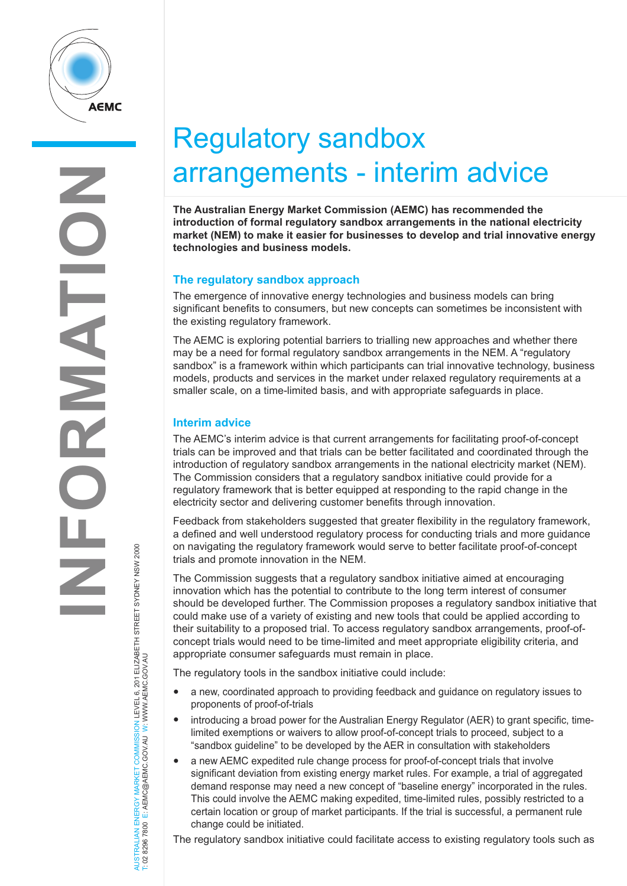

AUSTRALIAN ENERGY MARKET COMMISSION LEVEL 6, 201 ELIZABETH STREET SYDNEY NSW 2000

AUSTRALIAN ENERGY MARKET COMMISSION LEVEL 6, 201 ELIZABETH STREET SYDNEY NSW 2000<br>T: 02 8296 7800 E: AEMC@AEMC.GOV.AU W: WWW.AEMC.GOV.AU

T: 02 8296 7800 E: AEMC@AEMC.GOV.AU W: WWW.AEMC.GOV.AU

# Regulatory sandbox arrangements - interim advice

**The Australian Energy Market Commission (AEMC) has recommended the introduction of formal regulatory sandbox arrangements in the national electricity market (NEM) to make it easier for businesses to develop and trial innovative energy technologies and business models.** 

## **The regulatory sandbox approach**

The emergence of innovative energy technologies and business models can bring significant benefits to consumers, but new concepts can sometimes be inconsistent with the existing regulatory framework.

The AEMC is exploring potential barriers to trialling new approaches and whether there may be a need for formal regulatory sandbox arrangements in the NEM. A "regulatory sandbox" is a framework within which participants can trial innovative technology, business models, products and services in the market under relaxed regulatory requirements at a smaller scale, on a time-limited basis, and with appropriate safeguards in place.

## **Interim advice**

The AEMC's interim advice is that current arrangements for facilitating proof-of-concept trials can be improved and that trials can be better facilitated and coordinated through the introduction of regulatory sandbox arrangements in the national electricity market (NEM). The Commission considers that a regulatory sandbox initiative could provide for a regulatory framework that is better equipped at responding to the rapid change in the electricity sector and delivering customer benefits through innovation.

Feedback from stakeholders suggested that greater flexibility in the regulatory framework, a defined and well understood regulatory process for conducting trials and more guidance on navigating the regulatory framework would serve to better facilitate proof-of-concept trials and promote innovation in the NEM.

The Commission suggests that a regulatory sandbox initiative aimed at encouraging innovation which has the potential to contribute to the long term interest of consumer should be developed further. The Commission proposes a regulatory sandbox initiative that could make use of a variety of existing and new tools that could be applied according to their suitability to a proposed trial. To access regulatory sandbox arrangements, proof-ofconcept trials would need to be time-limited and meet appropriate eligibility criteria, and appropriate consumer safeguards must remain in place.

The regulatory tools in the sandbox initiative could include:

- a new, coordinated approach to providing feedback and guidance on regulatory issues to proponents of proof-of-trials
- introducing a broad power for the Australian Energy Regulator (AER) to grant specific, timelimited exemptions or waivers to allow proof-of-concept trials to proceed, subject to a "sandbox guideline" to be developed by the AER in consultation with stakeholders
- a new AEMC expedited rule change process for proof-of-concept trials that involve significant deviation from existing energy market rules. For example, a trial of aggregated demand response may need a new concept of "baseline energy" incorporated in the rules. This could involve the AEMC making expedited, time-limited rules, possibly restricted to a certain location or group of market participants. If the trial is successful, a permanent rule change could be initiated.

The regulatory sandbox initiative could facilitate access to existing regulatory tools such as